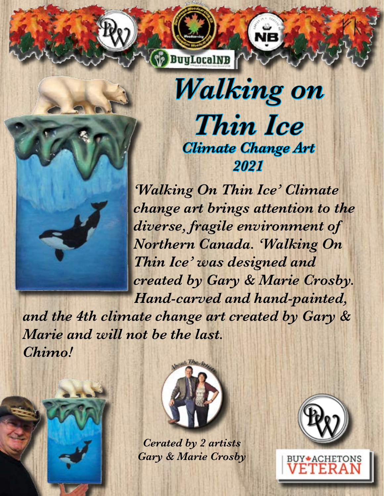

*Walking on Thin Ice Climate Change Art 2021* 

*'Walking On Thin Ice' Climate change art brings attention to the diverse, fragile environment of Northern Canada. 'Walking On Thin Ice' was designed and created by Gary & Marie Crosby. Hand-carved and hand-painted,* 

*and the 4th climate change art created by Gary & Marie and will not be the last. Chimo!*





*Cerated by 2 artists Gary & Marie Crosby*



**BUY ACHETONS**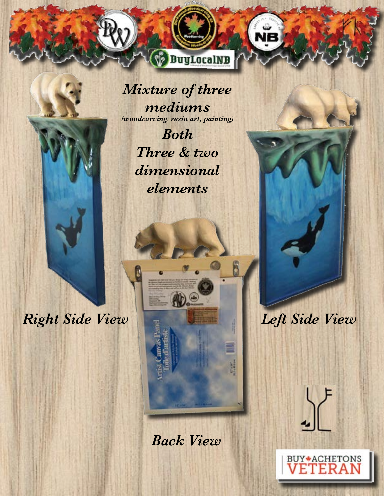

**BuyLocalNB** 

*Both Three & two dimensional elements*

50

*Right Side View Left Side View*

*Back View*

ÏR

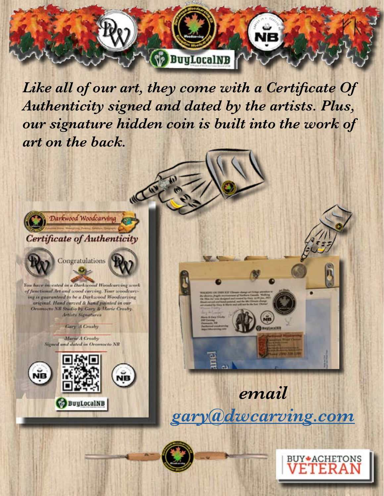

*Like all of our art, they come with a Certificate Of Authenticity signed and dated by the artists. Plus, our signature hidden coin is built into the work of art on the back.*